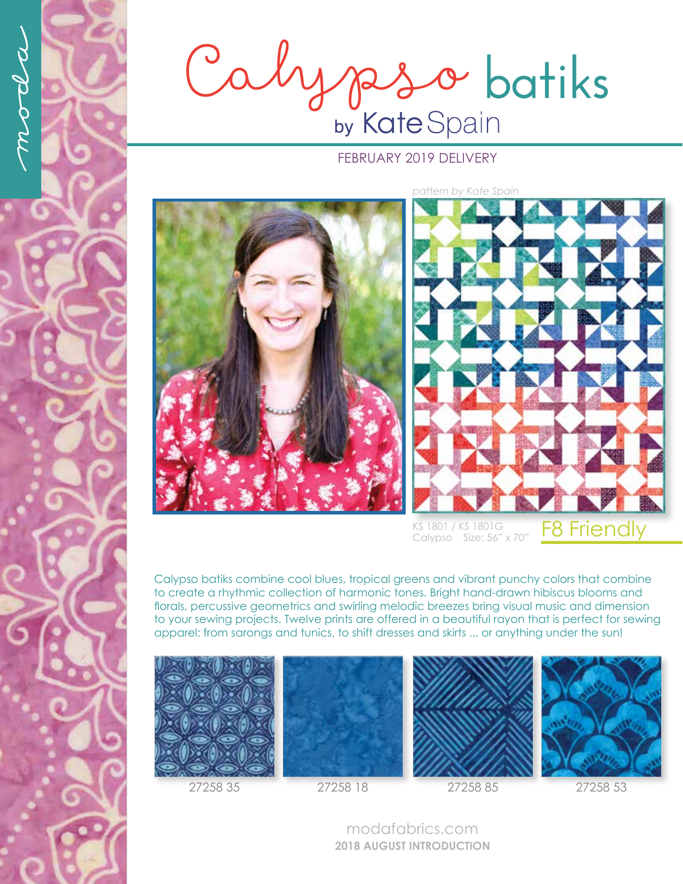Calypso batiks

## FEBRUARY 2019 DELIVERY



F8 Friendly KS 1801 / KS 1801G Calypso Size: 56" x 70"

Calypso batiks combine cool blues, tropical greens and vibrant punchy colors that combine to create a rhythmic collection of harmonic tones. Bright hand-drawn hibiscus blooms and florals, percussive geometrics and swirling melodic breezes bring visual music and dimension to your sewing projects. Twelve prints are offered in a beautiful rayon that is perfect for sewing apparel; from sarongs and tunics, to shift dresses and skirts ... or anything under the sun!









27258 35 27258 18 27258 85 27258 53

modafabrics.com **2018 AUGUST INTRODUCTION**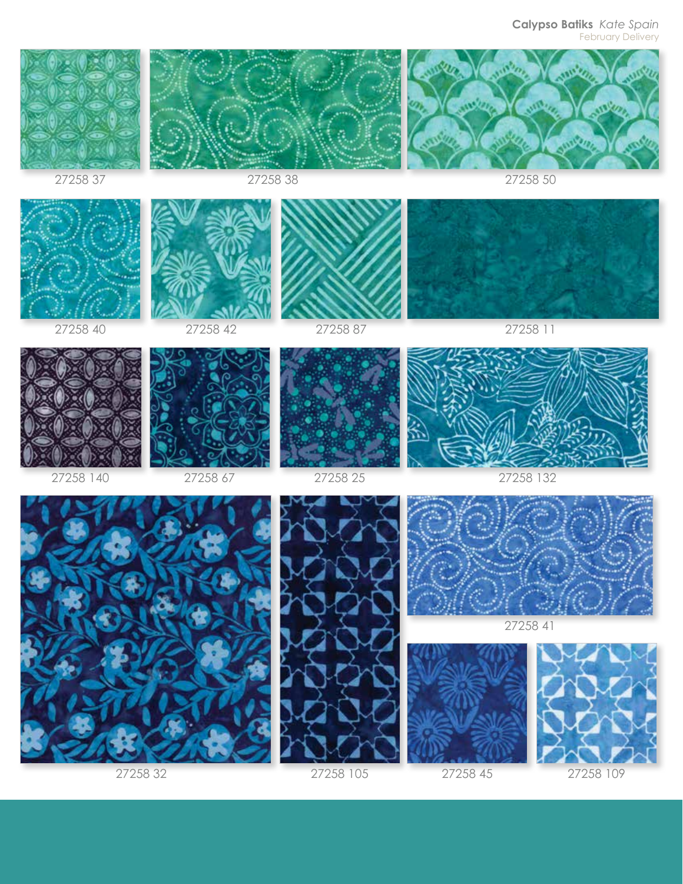**Calypso Batiks** *Kate Spain* February Delivery

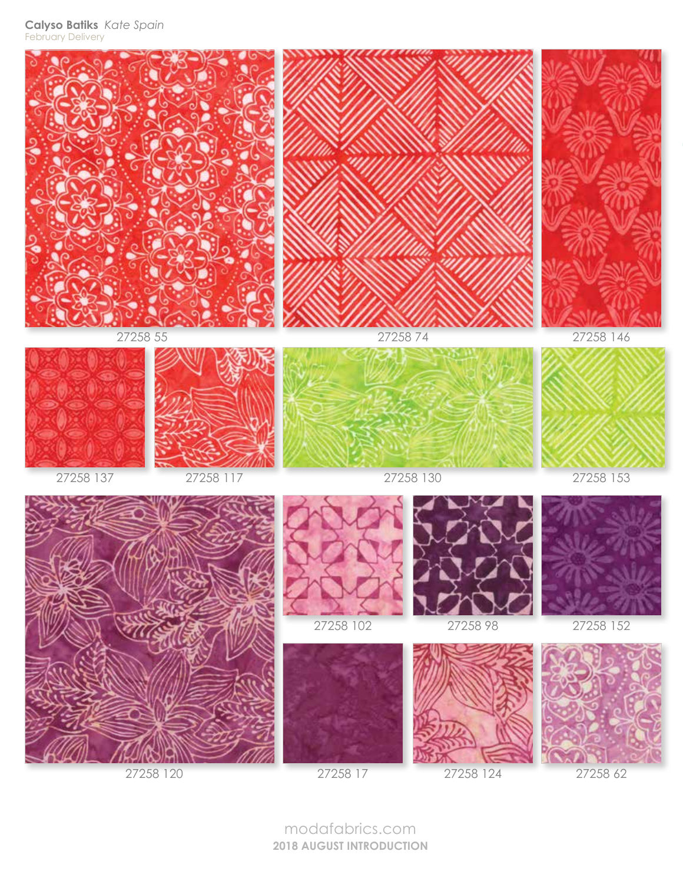**Calyso Batiks** *Kate Spain* February Delivery



27258 120

27258 17

27258 124

27258 62